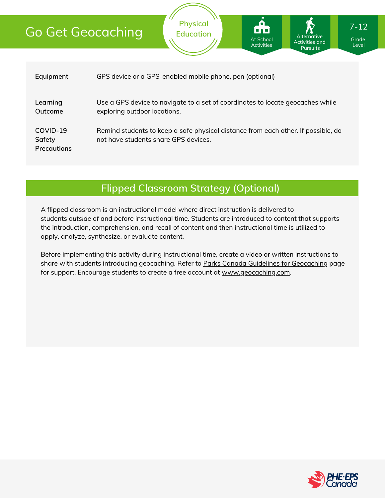# Go Get Geocaching

| Equipment                                | GPS device or a GPS-enabled mobile phone, pen (optional)                                                                  |
|------------------------------------------|---------------------------------------------------------------------------------------------------------------------------|
| Learning<br>Outcome                      | Use a GPS device to navigate to a set of coordinates to locate geocaches while<br>exploring outdoor locations.            |
| COVID-19<br>Safety<br><b>Precautions</b> | Remind students to keep a safe physical distance from each other. If possible, do<br>not have students share GPS devices. |

**Physical Education**

**Flipped Classroom Strategy (Optional)**

A flipped classroom is an instructional model where direct instruction is delivered to students *outside of* and *before* instructional time. Students are introduced to content that supports the introduction, comprehension, and recall of content and then instructional time is utilized to apply, analyze, synthesize, or evaluate content.

Before implementing this activity during instructional time, create a video or written instructions to share with students introducing geocaching. Refer to Parks Canada Guidelines for [Geocaching](https://www.pc.gc.ca/en/docs/pc/guide/geocache) page for support. Encourage students to create a free account at [www.geocaching.com.](http://www.geocaching.com/)



Grade Level

**Alternative Activities and Pursuits**

At School Activities

7-12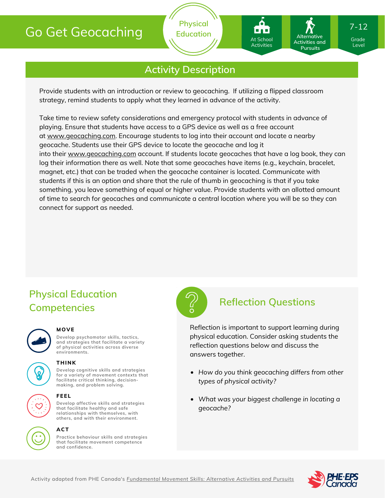# Go Get Geocaching

**Physical Education**

## **Activity Description**

Provide students with an introduction or review to geocaching. If utilizing a flipped classroom strategy, remind students to apply what they learned in advance of the activity.

Take time to review safety considerations and emergency protocol with students in advance of playing. Ensure that students have access to a GPS device as well as a free account at [www.geocaching.com.](http://www.geocaching.com/) Encourage students to log into their account and locate a nearby geocache. Students use their GPS device to locate the geocache and log it into their [www.geocaching.com](http://www.geocaching.com/) account. If students locate geocaches that have a log book, they can log their information there as well. Note that some geocaches have items (e.g., keychain, bracelet, magnet, etc.) that can be traded when the geocache container is located. Communicate with students if this is an option and share that the rule of thumb in geocaching is that if you take something, you leave something of equal or higher value. Provide students with an allotted amount of time to search for geocaches and communicate a central location where you will be so they can connect for support as needed.

# **Physical Education Competencies**



#### **MOVE**

**Develop psychomotor skills, tactics, and strategies that facilitate a variety of physical activities across diverse environments.**





**Develop cognitive skills and strategies for a variety of movement contexts that THINK**

**facilitate critical thinking, decision making, and problem solving.**



#### **FEEL**

**Develop affective skills and strategies that facilitate healthy and safe relationships with themselves, with others, and with their environment.**



### **ACT**

**Practice behaviour skills and strategies that facilitate movement competence and confidence.**



#### **Reflection Questions**

Reflection is important to support learning during physical education. Consider asking students the reflection questions below and discuss the answers together.

- *How do you think geocaching differs from other types of physical activity?*
- *What was your biggest challenge in locating a geocache?*



Grade Grade Level Level

7-12

Activities and **Pursuits** 

**Alternative**

At School At School Activities Activities